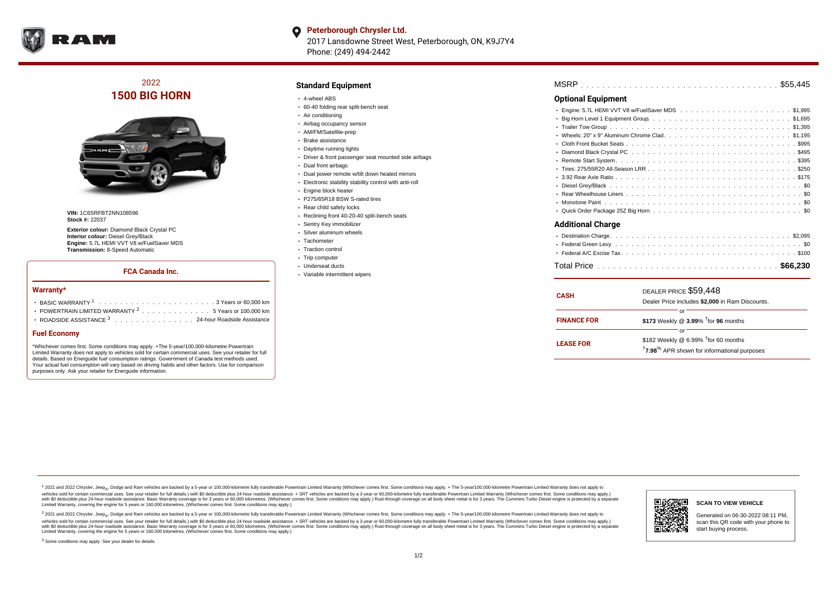

#### $\bullet$ **Peterborough Chrysler Ltd.**

2017 Lansdowne Street West, Peterborough, ON, K9J7Y4 Phone: (249) 494-2442

## 2022 **1500 BIG HORN**



**VIN:** 1C6SRFBT2NN108596 **Stock #:** 22037

**Exterior colour:** Diamond Black Crystal PC **Interior colour:** Diesel Grey/Black **Engine:** 5.7L HEMI VVT V8 w/FuelSaver MDS **Transmission:** 8-Speed Automatic

### **FCA Canada Inc.**

#### **Warranty\***

| • POWERTRAIN LIMITED WARRANTY $2, \ldots, \ldots, \ldots, \ldots, 5$ Years or 100,000 km |
|------------------------------------------------------------------------------------------|
| • ROADSIDE ASSISTANCE 3 24-hour Roadside Assistance                                      |

#### **Fuel Economy**

\*Whichever comes first. Some conditions may apply. +The 5-year/100,000-kilometre Powertrain Limited Warranty does not apply to vehicles sold for certain commercial uses. See your retailer for full details. Based on Energuide fuel consumption ratings. Government of Canada test methods used. Your actual fuel consumption will vary based on driving habits and other factors. Use for comparison purposes only. Ask your retailer for Energuide information.

### **Standard Equipment**

- 4-wheel ABS
- 60-40 folding rear split-bench seat
- Air conditioning
- Airbag occupancy sensor
- AM/FM/Satellite-prep
- Brake assistance
- Daytime running lights
- Driver & front passenger seat mounted side airbags
- Dual front airbags
- Dual power remote w/tilt down heated mirrors
- Electronic stability stability control with anti-roll
- Engine block heater
- P275/65R18 BSW S-rated tires
- Rear child safety locks
- Reclining front 40-20-40 split-bench seats
- Sentry Key immobilizer
- Silver aluminum wheels
- Tachometer
- Traction control • Trip computer
- Underseat ducts
- Variable intermittent wipers

### **Optional Equipment**

| Additional Charge |
|-------------------|

#### **Additional Charge**

| <b>CASH</b>        | DEALER PRICE \$59,448<br>Dealer Price includes \$2,000 in Ram Discounts.                                                     |  |  |  |  |  |  |  |  |
|--------------------|------------------------------------------------------------------------------------------------------------------------------|--|--|--|--|--|--|--|--|
| <b>FINANCE FOR</b> | or<br>\$173 Weekly @ $3.99\%$ <sup>†</sup> for 96 months                                                                     |  |  |  |  |  |  |  |  |
| <b>LEASE FOR</b>   | or<br>\$182 Weekly @ 6.99% <sup>t</sup> for 60 months<br><sup>†</sup> 7.98 <sup>%</sup> APR shown for informational purposes |  |  |  |  |  |  |  |  |

1 2021 and 2022 Chrysler, Jeep<sub>er</sub>, Dodge and Ram vehicles are backed by a 5-year or 100,000-kilometre fully transferable Powertrain Limited Warranty (Whichever comes first. Some conditions may apply. + The 5-year/100,000vehicles sold for certain commercial uses. See your retailer for full details.) with \$0 deductible plus 24-hour roadside assistance. + SRT vehicles are backed by a 3-year or 60,000-kilometre fully transferable Powertrain L versus and contract the mean of the contract of the contract with a contract with a contract the contract of the search of the contract and a control of the contract and contract and control of the search of the search of Limited Warranty, covering the engine for 5 years or 160,000 kilometres. (Whichever comes first. Some conditions may apply.)

<sup>2</sup> 2021 and 2022 Chrysler, Jeep<sub>®</sub>, Dodge and Ram vehicles are backed by a 5-year or 100,000-kilometre fully transferable Powertrain Limited Warranty (Whichever comes first. Some conditions may apply. + The 5-year/100,000 vehicles sold for certain commercial uses. See your retailer for full details.) with SO deductible plus 24-hour roadside assistance. + SRT vehicles are backed by a 3-year or 60.000-kilometre fully transferable Powertrain. with S0 deductible plus 24-hour roadside assistance. Basic Warranty coverage is for 3 years or 60,000 kilometres. (Whichever comes first. Some conditions may apply.) Rust-through coverage on all body sheet metal is for 3 y

<sup>3</sup> Some conditions may apply. See your dealer for details.



Generated on 06-30-2022 08:11 PM, scan this QR code with your phone to start buying process.